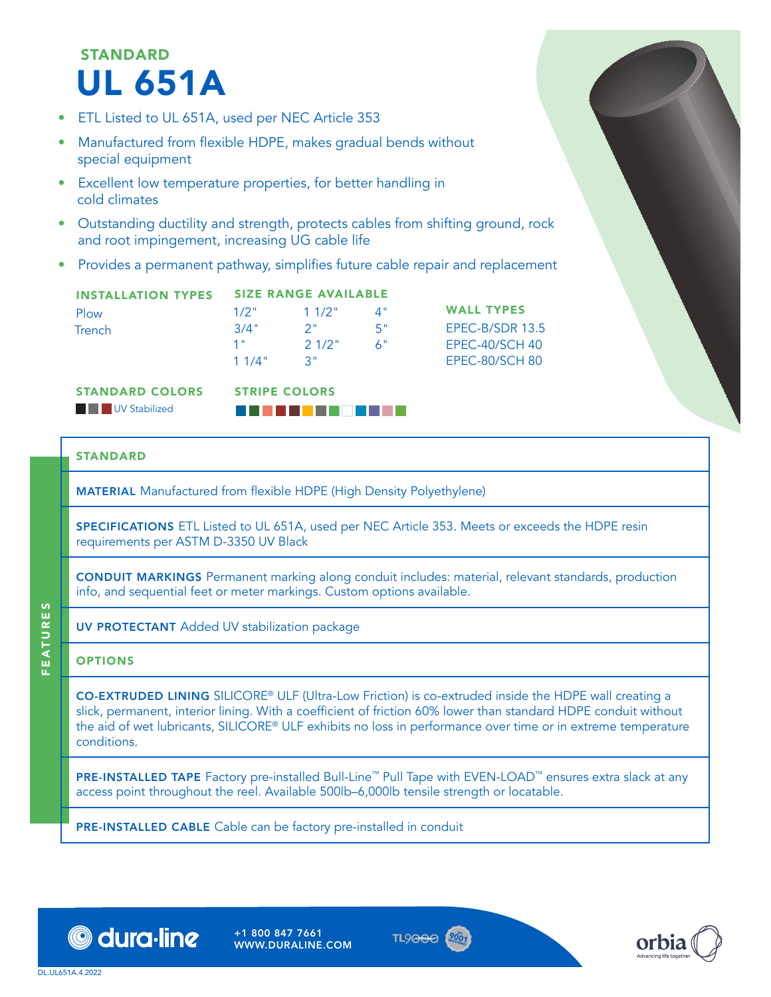# STANDARD UL 651A

- ETL Listed to UL 651A, used per NEC Article 353
- Manufactured from flexible HDPE, makes gradual bends without special equipment
- Excellent low temperature properties, for better handling in cold climates
- Outstanding ductility and strength, protects cables from shifting ground, rock and root impingement, increasing UG cable life
- Provides a permanent pathway, simplifies future cable repair and replacement

| <b>INSTALLATION TYPES</b> | <b>SIZE RANGE AVAILABLE</b> |                           |             |                   |  |
|---------------------------|-----------------------------|---------------------------|-------------|-------------------|--|
| Plow                      | $1/2$ "                     | $11/2$ "                  | $\Lambda$ " | <b>WALL TYPES</b> |  |
| Trench                    | 3/4"                        | - 2 "                     | -55         | EPEC-B/SDR 13.5   |  |
|                           | 1"                          | $21/2$ "                  | . A"        | $EPEC-40/SCH$ 40  |  |
|                           | 11/4"                       | $\mathbf{R}^{\mathbf{u}}$ |             | EPEC-80/SCH 80    |  |

STANDARD COLORS

**Formal Education** UV Stabilized

STRIPE COLORS BGDSCXFAWWYZ

## STANDARD

MATERIAL Manufactured from flexible HDPE (High Density Polyethylene)

SPECIFICATIONS ETL Listed to UL 651A, used per NEC Article 353. Meets or exceeds the HDPE resin requirements per ASTM D-3350 UV Black

CONDUIT MARKINGS Permanent marking along conduit includes: material, relevant standards, production info, and sequential feet or meter markings. Custom options available.

UV PROTECTANT Added UV stabilization package

## **OPTIONS**

FEATURES

**FEATURES** 

CO-EXTRUDED LINING SILICORE® ULF (Ultra-Low Friction) is co-extruded inside the HDPE wall creating a slick, permanent, interior lining. With a coefficient of friction 60% lower than standard HDPE conduit without the aid of wet lubricants, SILICORE® ULF exhibits no loss in performance over time or in extreme temperature conditions.

PRE-INSTALLED TAPE Factory pre-installed Bull-Line™ Pull Tape with EVEN-LOAD™ ensures extra slack at any access point throughout the reel. Available 500lb–6,000lb tensile strength or locatable.

PRE-INSTALLED CABLE Cable can be factory pre-installed in conduit



+1 800 847 7661 WWW.DURALINE.COM



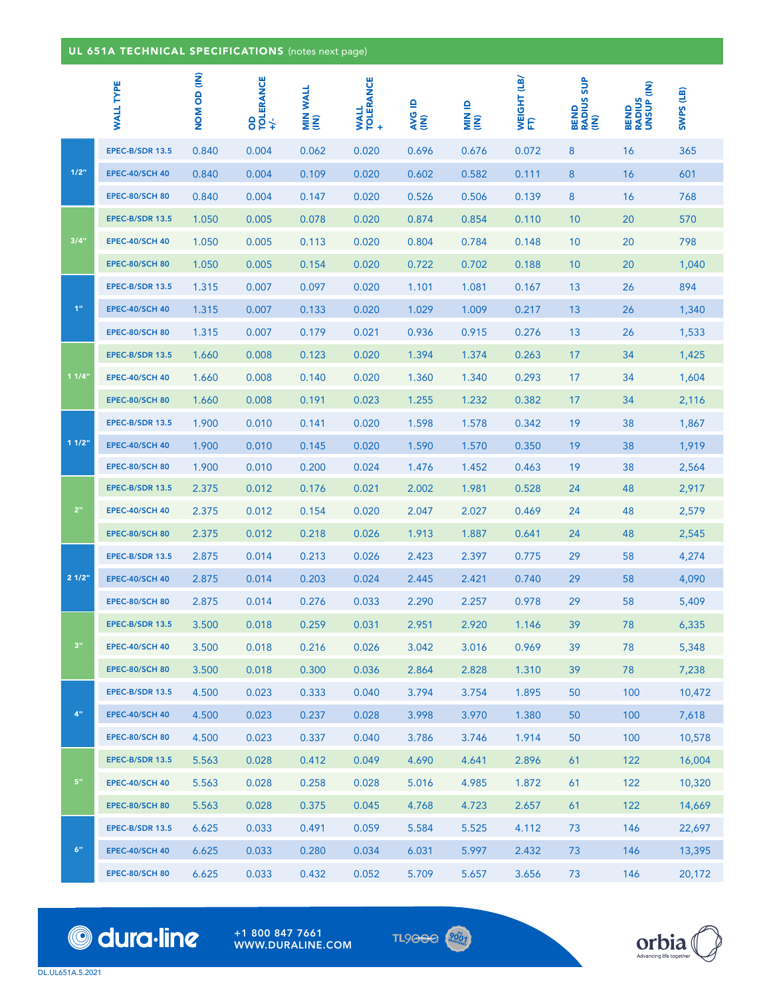|       | <b>WALL TYPE</b>       | <b>NOM OD (IN)</b> | OD<br>TOLERANCE<br>+/- | <b>MIN WALL</b><br>(IN) | <b>WALL<br/>TOLERANCE</b><br>$\ddot{}$ | <b>AVG ID</b><br>(IN) | an NIIN<br>(IN) | WEIGHT (LB/<br>FT) | <b>BEND<br/>RADIUS SUP<br/>(IN)</b> | BEND<br>RADIUS<br>UNSUP (IN) | SWPS (LB) |
|-------|------------------------|--------------------|------------------------|-------------------------|----------------------------------------|-----------------------|-----------------|--------------------|-------------------------------------|------------------------------|-----------|
| 1/2"  | EPEC-B/SDR 13.5        | 0.840              | 0.004                  | 0.062                   | 0.020                                  | 0.696                 | 0.676           | 0.072              | 8                                   | 16                           | 365       |
|       | <b>EPEC-40/SCH 40</b>  | 0.840              | 0.004                  | 0.109                   | 0.020                                  | 0.602                 | 0.582           | 0.111              | 8                                   | 16                           | 601       |
|       | <b>EPEC-80/SCH 80</b>  | 0.840              | 0.004                  | 0.147                   | 0.020                                  | 0.526                 | 0.506           | 0.139              | 8                                   | 16                           | 768       |
|       | EPEC-B/SDR 13.5        | 1.050              | 0.005                  | 0.078                   | 0.020                                  | 0.874                 | 0.854           | 0.110              | 10                                  | 20                           | 570       |
| 3/4"  | <b>EPEC-40/SCH 40</b>  | 1.050              | 0.005                  | 0.113                   | 0.020                                  | 0.804                 | 0.784           | 0.148              | 10                                  | 20                           | 798       |
|       | <b>EPEC-80/SCH 80</b>  | 1.050              | 0.005                  | 0.154                   | 0.020                                  | 0.722                 | 0.702           | 0.188              | 10                                  | 20                           | 1,040     |
|       | EPEC-B/SDR 13.5        | 1.315              | 0.007                  | 0.097                   | 0.020                                  | 1.101                 | 1.081           | 0.167              | 13                                  | 26                           | 894       |
| 1"    | <b>EPEC-40/SCH 40</b>  | 1.315              | 0.007                  | 0.133                   | 0.020                                  | 1.029                 | 1.009           | 0.217              | 13                                  | 26                           | 1,340     |
|       | <b>EPEC-80/SCH 80</b>  | 1.315              | 0.007                  | 0.179                   | 0.021                                  | 0.936                 | 0.915           | 0.276              | 13                                  | 26                           | 1,533     |
|       | EPEC-B/SDR 13.5        | 1.660              | 0.008                  | 0.123                   | 0.020                                  | 1.394                 | 1.374           | 0.263              | 17                                  | 34                           | 1,425     |
| 11/4  | <b>EPEC-40/SCH 40</b>  | 1.660              | 0.008                  | 0.140                   | 0.020                                  | 1.360                 | 1.340           | 0.293              | 17                                  | 34                           | 1,604     |
|       | <b>EPEC-80/SCH 80</b>  | 1.660              | 0.008                  | 0.191                   | 0.023                                  | 1.255                 | 1.232           | 0.382              | 17                                  | 34                           | 2,116     |
|       | EPEC-B/SDR 13.5        | 1.900              | 0.010                  | 0.141                   | 0.020                                  | 1.598                 | 1.578           | 0.342              | 19                                  | 38                           | 1,867     |
| 11/2" | <b>EPEC-40/SCH 40</b>  | 1.900              | 0.010                  | 0.145                   | 0.020                                  | 1.590                 | 1.570           | 0.350              | 19                                  | 38                           | 1,919     |
|       | <b>EPEC-80/SCH 80</b>  | 1.900              | 0.010                  | 0.200                   | 0.024                                  | 1.476                 | 1.452           | 0.463              | 19                                  | 38                           | 2,564     |
|       | EPEC-B/SDR 13.5        | 2.375              | 0.012                  | 0.176                   | 0.021                                  | 2.002                 | 1.981           | 0.528              | 24                                  | 48                           | 2,917     |
| 2"    | <b>EPEC-40/SCH 40</b>  | 2.375              | 0.012                  | 0.154                   | 0.020                                  | 2.047                 | 2.027           | 0.469              | 24                                  | 48                           | 2,579     |
|       | <b>EPEC-80/SCH 80</b>  | 2.375              | 0.012                  | 0.218                   | 0.026                                  | 1.913                 | 1.887           | 0.641              | 24                                  | 48                           | 2,545     |
|       | EPEC-B/SDR 13.5        | 2.875              | 0.014                  | 0.213                   | 0.026                                  | 2.423                 | 2.397           | 0.775              | 29                                  | 58                           | 4,274     |
| 21/2" | <b>EPEC-40/SCH 40</b>  | 2.875              | 0.014                  | 0.203                   | 0.024                                  | 2.445                 | 2.421           | 0.740              | 29                                  | 58                           | 4,090     |
|       | <b>EPEC-80/SCH 80</b>  | 2.875              | 0.014                  | 0.276                   | 0.033                                  | 2.290                 | 2.257           | 0.978              | 29                                  | 58                           | 5,409     |
|       | EPEC-B/SDR 13.5        | 3.500              | 0.018                  | 0.259                   | 0.031                                  | 2.951                 | 2.920           | 1.146              | 39                                  | 78                           | 6,335     |
| 3"    | <b>EPEC-40/SCH 40</b>  | 3.500              | 0.018                  | 0.216                   | 0.026                                  | 3.042                 | 3.016           | 0.969              | 39                                  | 78                           | 5,348     |
|       | <b>EPEC-80/SCH 80</b>  | 3.500              | 0.018                  | 0.300                   | 0.036                                  | 2.864                 | 2.828           | 1.310              | 39                                  | 78                           | 7,238     |
|       | EPEC-B/SDR 13.5        | 4.500              | 0.023                  | 0.333                   | 0.040                                  | 3.794                 | 3.754           | 1.895              | 50                                  | 100                          | 10,472    |
| $4$ " | <b>EPEC-40/SCH 40</b>  | 4.500              | 0.023                  | 0.237                   | 0.028                                  | 3.998                 | 3.970           | 1.380              | 50                                  | 100                          | 7,618     |
|       | <b>EPEC-80/SCH 80</b>  | 4.500              | 0.023                  | 0.337                   | 0.040                                  | 3.786                 | 3.746           | 1.914              | 50                                  | 100                          | 10,578    |
|       | <b>EPEC-B/SDR 13.5</b> | 5.563              | 0.028                  | 0.412                   | 0.049                                  | 4.690                 | 4.641           | 2.896              | 61                                  | 122                          | 16,004    |
| $5"$  | <b>EPEC-40/SCH 40</b>  | 5.563              | 0.028                  | 0.258                   | 0.028                                  | 5.016                 | 4.985           | 1.872              | 61                                  | 122                          | 10,320    |
|       | <b>EPEC-80/SCH 80</b>  | 5.563              | 0.028                  | 0.375                   | 0.045                                  | 4.768                 | 4.723           | 2.657              | 61                                  | 122                          | 14,669    |
|       | EPEC-B/SDR 13.5        | 6.625              | 0.033                  | 0.491                   | 0.059                                  | 5.584                 | 5.525           | 4.112              | 73                                  | 146                          | 22,697    |
| 6"    | <b>EPEC-40/SCH 40</b>  | 6.625              | 0.033                  | 0.280                   | 0.034                                  | 6.031                 | 5.997           | 2.432              | 73                                  | 146                          | 13,395    |
|       | <b>EPEC-80/SCH 80</b>  | 6.625              | 0.033                  | 0.432                   | 0.052                                  | 5.709                 | 5.657           | 3.656              | 73                                  | 146                          | 20,172    |



+1 800 847 7661 WWW.DURALINE.COM TL9<del>000</del> 2001